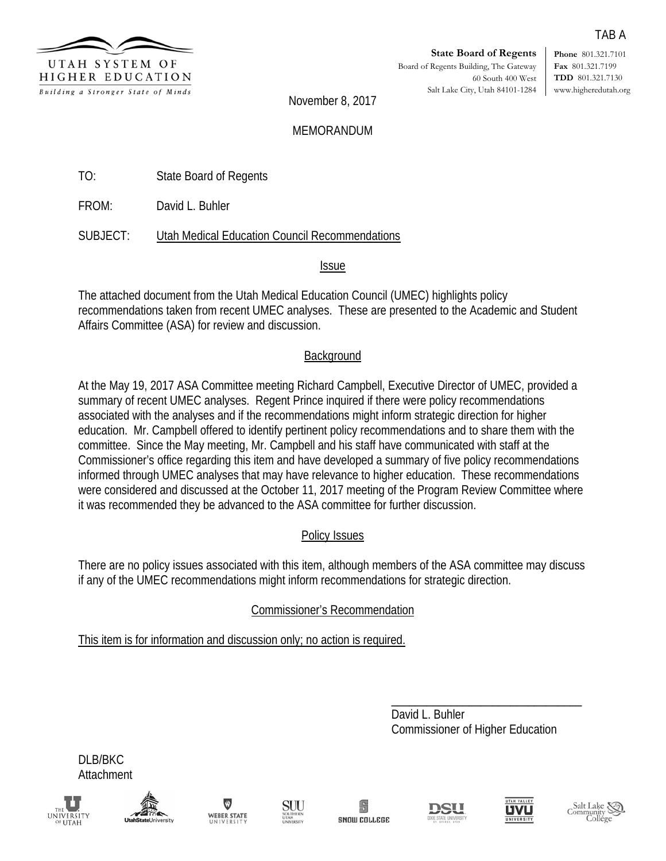

**Phone** 801.321.7101 **Fax** 801.321.7199 **TDD** 801.321.7130 www.higheredutah.org

November 8, 2017

### MEMORANDUM

TO: State Board of Regents

FROM: David L. Buhler

SUBJECT: Utah Medical Education Council Recommendations

Issue

The attached document from the Utah Medical Education Council (UMEC) highlights policy recommendations taken from recent UMEC analyses. These are presented to the Academic and Student Affairs Committee (ASA) for review and discussion.

## **Background**

At the May 19, 2017 ASA Committee meeting Richard Campbell, Executive Director of UMEC, provided a summary of recent UMEC analyses. Regent Prince inquired if there were policy recommendations associated with the analyses and if the recommendations might inform strategic direction for higher education. Mr. Campbell offered to identify pertinent policy recommendations and to share them with the committee. Since the May meeting, Mr. Campbell and his staff have communicated with staff at the Commissioner's office regarding this item and have developed a summary of five policy recommendations informed through UMEC analyses that may have relevance to higher education. These recommendations were considered and discussed at the October 11, 2017 meeting of the Program Review Committee where it was recommended they be advanced to the ASA committee for further discussion.

# Policy Issues

There are no policy issues associated with this item, although members of the ASA committee may discuss if any of the UMEC recommendations might inform recommendations for strategic direction.

Commissioner's Recommendation

This item is for information and discussion only; no action is required.

\_\_\_\_\_\_\_\_\_\_\_\_\_\_\_\_\_\_\_\_\_\_\_\_\_\_\_\_\_\_\_\_ David L. Buhler Commissioner of Higher Education

DLB/BKC Attachment















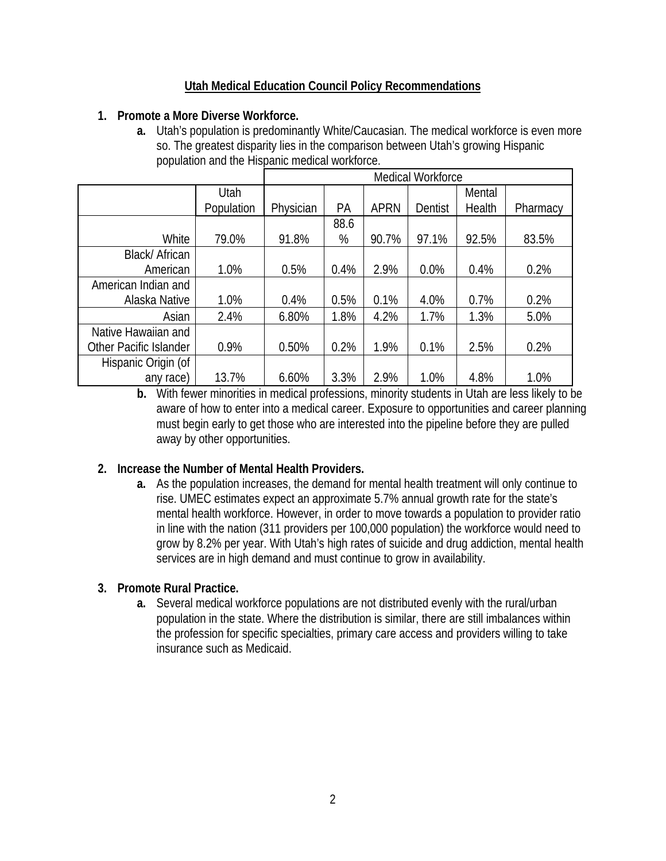### **Utah Medical Education Council Policy Recommendations**

#### **1. Promote a More Diverse Workforce.**

**a.** Utah's population is predominantly White/Caucasian. The medical workforce is even more so. The greatest disparity lies in the comparison between Utah's growing Hispanic population and the Hispanic medical workforce.

|                        |            | Medical Workforce |      |             |         |        |          |  |
|------------------------|------------|-------------------|------|-------------|---------|--------|----------|--|
|                        | Utah       |                   |      |             |         | Mental |          |  |
|                        | Population | Physician         | PA   | <b>APRN</b> | Dentist | Health | Pharmacy |  |
|                        |            |                   | 88.6 |             |         |        |          |  |
| White                  | 79.0%      | 91.8%             | %    | 90.7%       | 97.1%   | 92.5%  | 83.5%    |  |
| Black/African          |            |                   |      |             |         |        |          |  |
| American               | 1.0%       | 0.5%              | 0.4% | 2.9%        | 0.0%    | 0.4%   | 0.2%     |  |
| American Indian and    |            |                   |      |             |         |        |          |  |
| Alaska Native          | 1.0%       | 0.4%              | 0.5% | 0.1%        | 4.0%    | 0.7%   | 0.2%     |  |
| Asian                  | 2.4%       | 6.80%             | 1.8% | 4.2%        | 1.7%    | 1.3%   | 5.0%     |  |
| Native Hawaiian and    |            |                   |      |             |         |        |          |  |
| Other Pacific Islander | 0.9%       | 0.50%             | 0.2% | 1.9%        | 0.1%    | 2.5%   | 0.2%     |  |
| Hispanic Origin (of    |            |                   |      |             |         |        |          |  |
| any race)              | 13.7%      | 6.60%             | 3.3% | 2.9%        | 1.0%    | 4.8%   | 1.0%     |  |

**b.** With fewer minorities in medical professions, minority students in Utah are less likely to be aware of how to enter into a medical career. Exposure to opportunities and career planning must begin early to get those who are interested into the pipeline before they are pulled away by other opportunities.

#### **2. Increase the Number of Mental Health Providers.**

**a.** As the population increases, the demand for mental health treatment will only continue to rise. UMEC estimates expect an approximate 5.7% annual growth rate for the state's mental health workforce. However, in order to move towards a population to provider ratio in line with the nation (311 providers per 100,000 population) the workforce would need to grow by 8.2% per year. With Utah's high rates of suicide and drug addiction, mental health services are in high demand and must continue to grow in availability.

#### **3. Promote Rural Practice.**

**a.** Several medical workforce populations are not distributed evenly with the rural/urban population in the state. Where the distribution is similar, there are still imbalances within the profession for specific specialties, primary care access and providers willing to take insurance such as Medicaid.